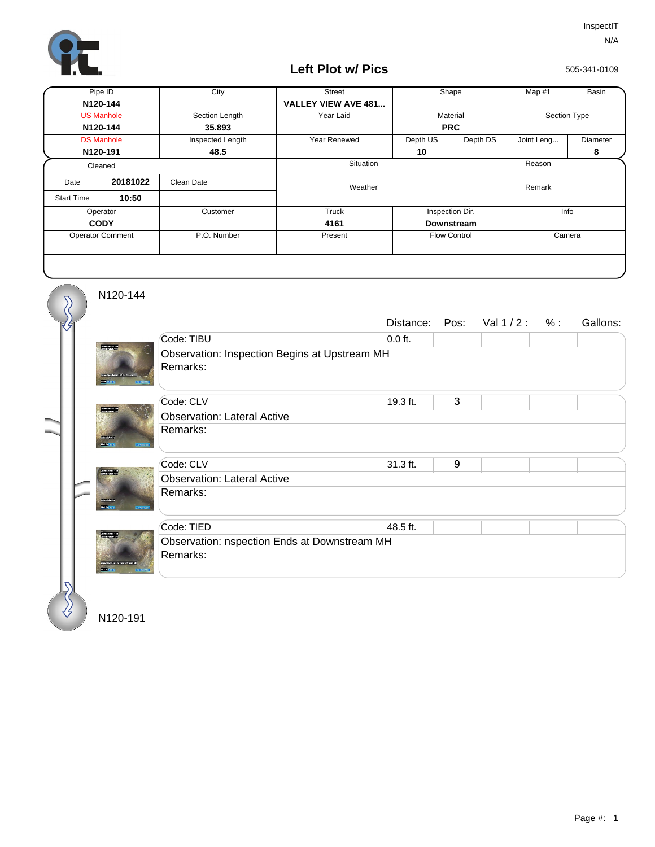

## **Left Plot w/ Pics**

505-341-0109

| Pipe ID                 |                   | City             | <b>Street</b>              | Shape               |                        | Map #1       | Basin           |
|-------------------------|-------------------|------------------|----------------------------|---------------------|------------------------|--------------|-----------------|
| N120-144                |                   |                  | <b>VALLEY VIEW AVE 481</b> |                     |                        |              |                 |
| <b>US Manhole</b>       |                   | Section Length   | Year Laid                  | Material            |                        | Section Type |                 |
| N120-144                |                   | 35,893           |                            | <b>PRC</b>          |                        |              |                 |
|                         | <b>DS Manhole</b> | Inspected Length | Year Renewed               | Depth US            | Depth DS<br>Joint Leng |              | <b>Diameter</b> |
| N120-191                |                   | 48.5             |                            | 10                  |                        |              | 8               |
| Cleaned                 |                   |                  | Situation                  |                     |                        | Reason       |                 |
| Date                    | 20181022          | Clean Date       | Weather                    |                     |                        | Remark       |                 |
| <b>Start Time</b>       | 10:50             |                  |                            |                     |                        |              |                 |
| Operator                |                   | Customer         | Truck                      | Inspection Dir.     |                        | Info         |                 |
| <b>CODY</b>             |                   |                  | 4161                       | <b>Downstream</b>   |                        |              |                 |
| <b>Operator Comment</b> |                   | P.O. Number      | Present                    | <b>Flow Control</b> |                        | Camera       |                 |
|                         |                   |                  |                            |                     |                        |              |                 |

N120-144

 $\delta$ 

|                                                         |                                               | Distance:  | Pos: | Val $1/2$ : | $%$ : | Gallons: |  |  |  |
|---------------------------------------------------------|-----------------------------------------------|------------|------|-------------|-------|----------|--|--|--|
|                                                         | Code: TIBU                                    | $0.0$ ft.  |      |             |       |          |  |  |  |
| <b>PERMITS 10</b>                                       | Observation: Inspection Begins at Upstream MH |            |      |             |       |          |  |  |  |
|                                                         | Remarks:                                      |            |      |             |       |          |  |  |  |
|                                                         | Code: CLV                                     | 19.3 ft.   | 3    |             |       |          |  |  |  |
| <b>PERMITS 10</b>                                       | <b>Observation: Lateral Active</b>            |            |      |             |       |          |  |  |  |
| <b>Standard</b><br><b>BSR/D</b><br>35100000             | Remarks:                                      |            |      |             |       |          |  |  |  |
|                                                         | Code: CLV                                     | $31.3$ ft. | 9    |             |       |          |  |  |  |
| 15400 NITES 10<br>15800 NISB-191                        | <b>Observation: Lateral Active</b>            |            |      |             |       |          |  |  |  |
| <b>CROWN Artist</b><br>202013-013<br><b>ECONOMISTIC</b> | Remarks:                                      |            |      |             |       |          |  |  |  |
|                                                         | Code: TIED                                    | 48.5 ft.   |      |             |       |          |  |  |  |
| <b>ADSIMUS</b>                                          | Observation: nspection Ends at Downstream MH  |            |      |             |       |          |  |  |  |
|                                                         | Remarks:                                      |            |      |             |       |          |  |  |  |
|                                                         |                                               |            |      |             |       |          |  |  |  |

N120-191

∜